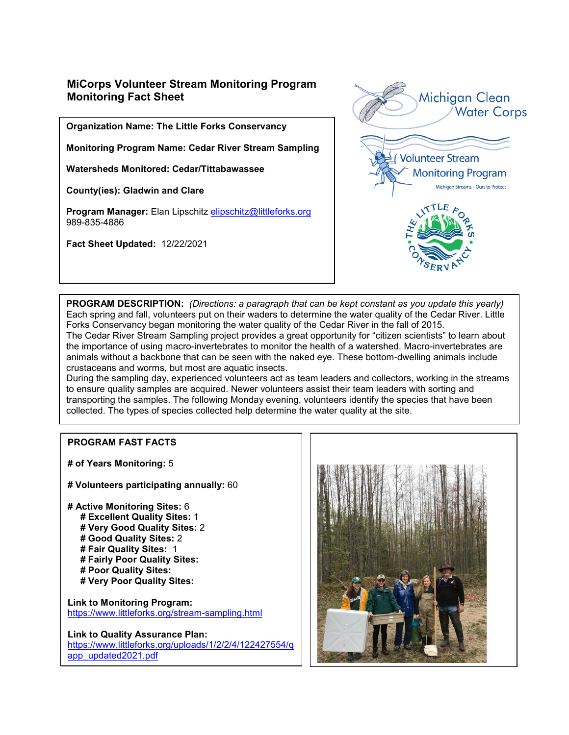# **MiCorps Volunteer Stream Monitoring Program Monitoring Fact Sheet**

**Organization Name: The Little Forks Conservancy**

**Monitoring Program Name: Cedar River Stream Sampling**

**Watersheds Monitored: Cedar/Tittabawassee**

**County(ies): Gladwin and Clare**

**Program Manager:** Elan Lipschitz [elipschitz@littleforks.org](mailto:elipschitz@littleforks.org) 989-835-4886

**Fact Sheet Updated:** 12/22/2021



**PROGRAM DESCRIPTION:** *(Directions: a paragraph that can be kept constant as you update this yearly)* Each spring and fall, volunteers put on their waders to determine the water quality of the Cedar River. Little Forks Conservancy began monitoring the water quality of the Cedar River in the fall of 2015. The Cedar River Stream Sampling project provides a great opportunity for "citizen scientists" to learn about the importance of using macro-invertebrates to monitor the health of a watershed. Macro-invertebrates are animals without a backbone that can be seen with the naked eye. These bottom-dwelling animals include crustaceans and worms, but most are aquatic insects.

During the sampling day, experienced volunteers act as team leaders and collectors, working in the streams to ensure quality samples are acquired. Newer volunteers assist their team leaders with sorting and transporting the samples. The following Monday evening, volunteers identify the species that have been collected. The types of species collected help determine the water quality at the site.

#### **PROGRAM FAST FACTS**

**# of Years Monitoring:** 5

- **# Volunteers participating annually:** 60
- **# Active Monitoring Sites:** 6
	- **# Excellent Quality Sites:** 1
	- **# Very Good Quality Sites:** 2
	- **# Good Quality Sites:** 2
	- **# Fair Quality Sites:** 1
	- **# Fairly Poor Quality Sites:**
	- **# Poor Quality Sites:**
	- **# Very Poor Quality Sites:**

**Link to Monitoring Program:**  <https://www.littleforks.org/stream-sampling.html>

**Link to Quality Assurance Plan:** 

[https://www.littleforks.org/uploads/1/2/2/4/122427554/q](https://www.littleforks.org/uploads/1/2/2/4/122427554/qapp_updated2021.pdf) [app\\_updated2021.pdf](https://www.littleforks.org/uploads/1/2/2/4/122427554/qapp_updated2021.pdf)